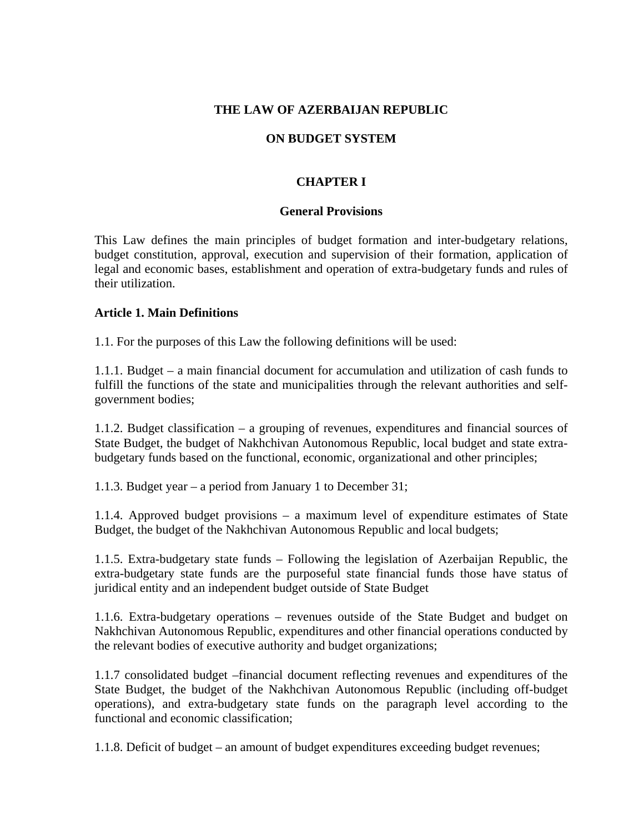## **THE LAW OF AZERBAIJAN REPUBLIC**

# **ON BUDGET SYSTEM**

# **CHAPTER I**

#### **General Provisions**

This Law defines the main principles of budget formation and inter-budgetary relations, budget constitution, approval, execution and supervision of their formation, application of legal and economic bases, establishment and operation of extra-budgetary funds and rules of their utilization.

### **Article 1. Main Definitions**

1.1. For the purposes of this Law the following definitions will be used:

1.1.1. Budget – a main financial document for accumulation and utilization of cash funds to fulfill the functions of the state and municipalities through the relevant authorities and selfgovernment bodies;

1.1.2. Budget classification – a grouping of revenues, expenditures and financial sources of State Budget, the budget of Nakhchivan Autonomous Republic, local budget and state extrabudgetary funds based on the functional, economic, organizational and other principles;

1.1.3. Budget year – a period from January 1 to December 31;

1.1.4. Approved budget provisions – a maximum level of expenditure estimates of State Budget, the budget of the Nakhchivan Autonomous Republic and local budgets;

1.1.5. Extra-budgetary state funds – Following the legislation of Azerbaijan Republic, the extra-budgetary state funds are the purposeful state financial funds those have status of juridical entity and an independent budget outside of State Budget

1.1.6. Extra-budgetary operations – revenues outside of the State Budget and budget on Nakhchivan Autonomous Republic, expenditures and other financial operations conducted by the relevant bodies of executive authority and budget organizations;

1.1.7 consolidated budget –financial document reflecting revenues and expenditures of the State Budget, the budget of the Nakhchivan Autonomous Republic (including off-budget operations), and extra-budgetary state funds on the paragraph level according to the functional and economic classification;

1.1.8. Deficit of budget – an amount of budget expenditures exceeding budget revenues;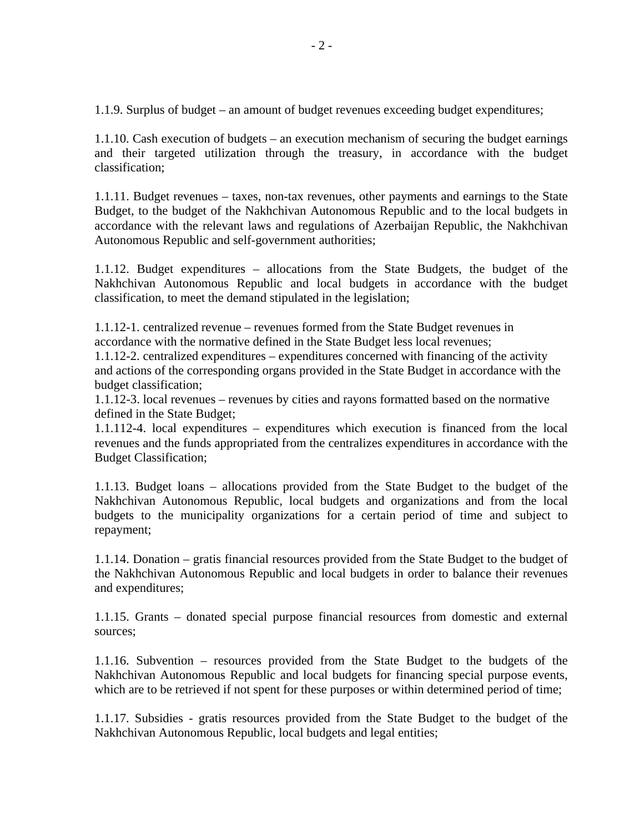1.1.9. Surplus of budget – an amount of budget revenues exceeding budget expenditures;

1.1.10. Cash execution of budgets – an execution mechanism of securing the budget earnings and their targeted utilization through the treasury, in accordance with the budget classification;

1.1.11. Budget revenues – taxes, non-tax revenues, other payments and earnings to the State Budget, to the budget of the Nakhchivan Autonomous Republic and to the local budgets in accordance with the relevant laws and regulations of Azerbaijan Republic, the Nakhchivan Autonomous Republic and self-government authorities;

1.1.12. Budget expenditures – allocations from the State Budgets, the budget of the Nakhchivan Autonomous Republic and local budgets in accordance with the budget classification, to meet the demand stipulated in the legislation;

1.1.12-1. centralized revenue – revenues formed from the State Budget revenues in accordance with the normative defined in the State Budget less local revenues;

1.1.12-2. centralized expenditures – expenditures concerned with financing of the activity and actions of the corresponding organs provided in the State Budget in accordance with the budget classification;

1.1.12-3. local revenues – revenues by cities and rayons formatted based on the normative defined in the State Budget;

1.1.112-4. local expenditures – expenditures which execution is financed from the local revenues and the funds appropriated from the centralizes expenditures in accordance with the Budget Classification;

1.1.13. Budget loans – allocations provided from the State Budget to the budget of the Nakhchivan Autonomous Republic, local budgets and organizations and from the local budgets to the municipality organizations for a certain period of time and subject to repayment;

1.1.14. Donation – gratis financial resources provided from the State Budget to the budget of the Nakhchivan Autonomous Republic and local budgets in order to balance their revenues and expenditures;

1.1.15. Grants – donated special purpose financial resources from domestic and external sources;

1.1.16. Subvention – resources provided from the State Budget to the budgets of the Nakhchivan Autonomous Republic and local budgets for financing special purpose events, which are to be retrieved if not spent for these purposes or within determined period of time;

1.1.17. Subsidies - gratis resources provided from the State Budget to the budget of the Nakhchivan Autonomous Republic, local budgets and legal entities;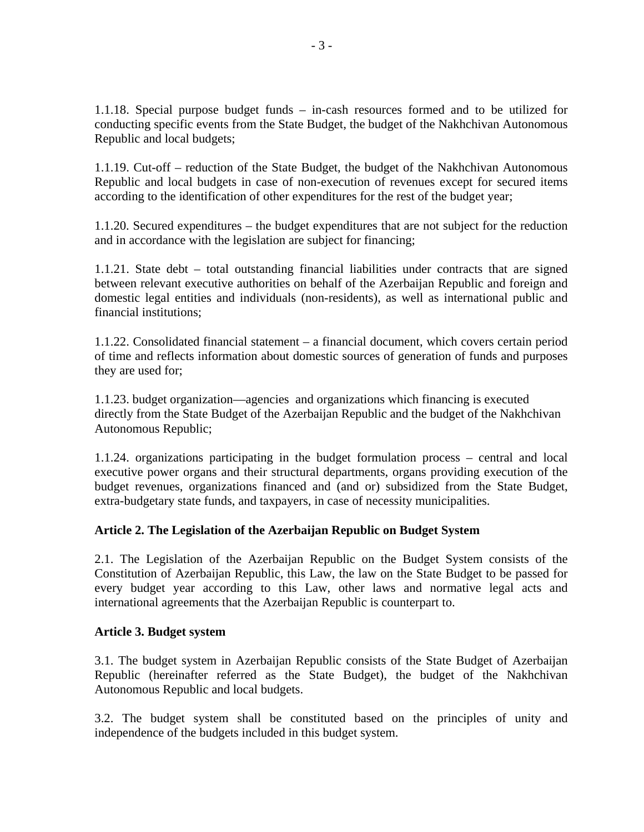1.1.18. Special purpose budget funds – in-cash resources formed and to be utilized for conducting specific events from the State Budget, the budget of the Nakhchivan Autonomous Republic and local budgets;

1.1.19. Cut-off – reduction of the State Budget, the budget of the Nakhchivan Autonomous Republic and local budgets in case of non-execution of revenues except for secured items according to the identification of other expenditures for the rest of the budget year;

1.1.20. Secured expenditures – the budget expenditures that are not subject for the reduction and in accordance with the legislation are subject for financing;

1.1.21. State debt – total outstanding financial liabilities under contracts that are signed between relevant executive authorities on behalf of the Azerbaijan Republic and foreign and domestic legal entities and individuals (non-residents), as well as international public and financial institutions;

1.1.22. Consolidated financial statement – a financial document, which covers certain period of time and reflects information about domestic sources of generation of funds and purposes they are used for;

1.1.23. budget organization—agencies and organizations which financing is executed directly from the State Budget of the Azerbaijan Republic and the budget of the Nakhchivan Autonomous Republic;

1.1.24. organizations participating in the budget formulation process – central and local executive power organs and their structural departments, organs providing execution of the budget revenues, organizations financed and (and or) subsidized from the State Budget, extra-budgetary state funds, and taxpayers, in case of necessity municipalities.

# **Article 2. The Legislation of the Azerbaijan Republic on Budget System**

2.1. The Legislation of the Azerbaijan Republic on the Budget System consists of the Constitution of Azerbaijan Republic, this Law, the law on the State Budget to be passed for every budget year according to this Law, other laws and normative legal acts and international agreements that the Azerbaijan Republic is counterpart to.

### **Article 3. Budget system**

3.1. The budget system in Azerbaijan Republic consists of the State Budget of Azerbaijan Republic (hereinafter referred as the State Budget), the budget of the Nakhchivan Autonomous Republic and local budgets.

3.2. The budget system shall be constituted based on the principles of unity and independence of the budgets included in this budget system.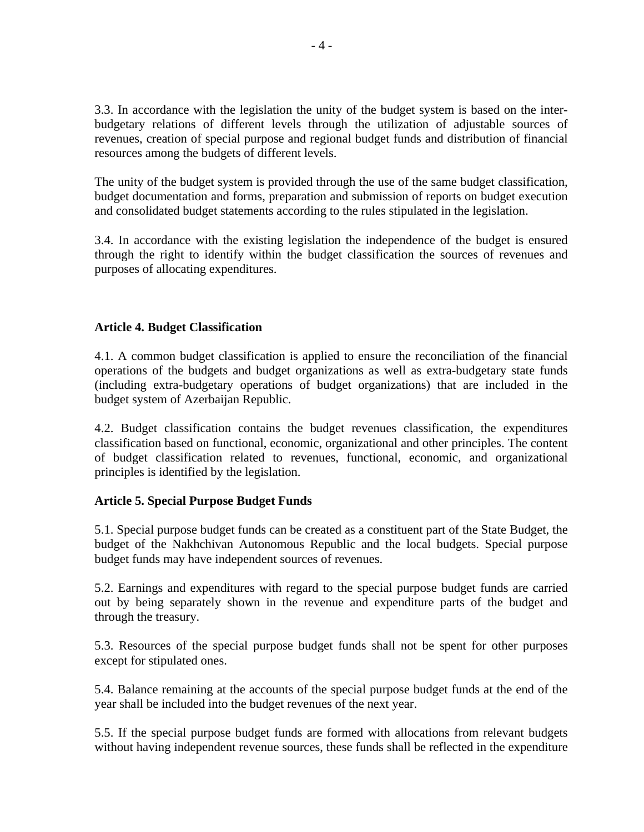3.3. In accordance with the legislation the unity of the budget system is based on the interbudgetary relations of different levels through the utilization of adjustable sources of revenues, creation of special purpose and regional budget funds and distribution of financial resources among the budgets of different levels.

The unity of the budget system is provided through the use of the same budget classification, budget documentation and forms, preparation and submission of reports on budget execution and consolidated budget statements according to the rules stipulated in the legislation.

3.4. In accordance with the existing legislation the independence of the budget is ensured through the right to identify within the budget classification the sources of revenues and purposes of allocating expenditures.

### **Article 4. Budget Classification**

4.1. A common budget classification is applied to ensure the reconciliation of the financial operations of the budgets and budget organizations as well as extra-budgetary state funds (including extra-budgetary operations of budget organizations) that are included in the budget system of Azerbaijan Republic.

4.2. Budget classification contains the budget revenues classification, the expenditures classification based on functional, economic, organizational and other principles. The content of budget classification related to revenues, functional, economic, and organizational principles is identified by the legislation.

### **Article 5. Special Purpose Budget Funds**

5.1. Special purpose budget funds can be created as a constituent part of the State Budget, the budget of the Nakhchivan Autonomous Republic and the local budgets. Special purpose budget funds may have independent sources of revenues.

5.2. Earnings and expenditures with regard to the special purpose budget funds are carried out by being separately shown in the revenue and expenditure parts of the budget and through the treasury.

5.3. Resources of the special purpose budget funds shall not be spent for other purposes except for stipulated ones.

5.4. Balance remaining at the accounts of the special purpose budget funds at the end of the year shall be included into the budget revenues of the next year.

5.5. If the special purpose budget funds are formed with allocations from relevant budgets without having independent revenue sources, these funds shall be reflected in the expenditure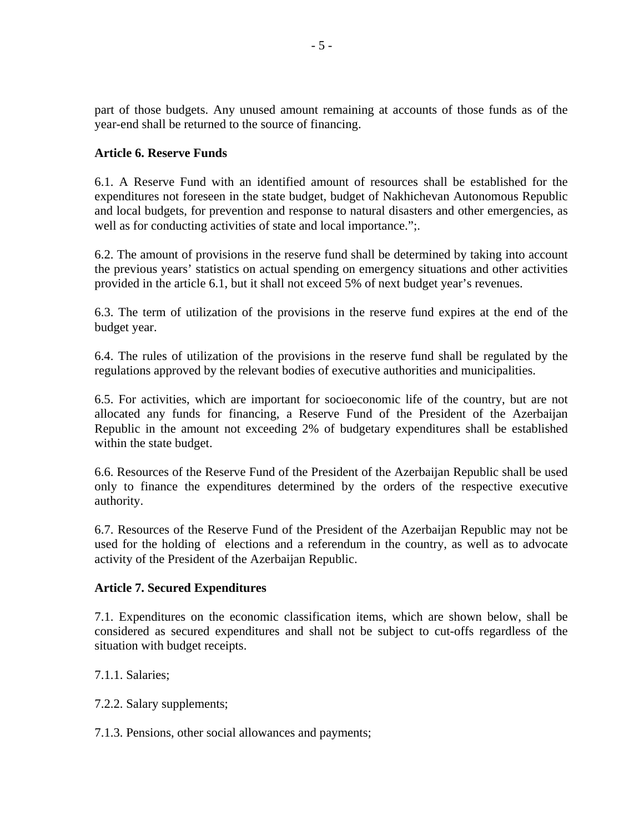part of those budgets. Any unused amount remaining at accounts of those funds as of the year-end shall be returned to the source of financing.

## **Article 6. Reserve Funds**

6.1. A Reserve Fund with an identified amount of resources shall be established for the expenditures not foreseen in the state budget, budget of Nakhichevan Autonomous Republic and local budgets, for prevention and response to natural disasters and other emergencies, as well as for conducting activities of state and local importance.";

6.2. The amount of provisions in the reserve fund shall be determined by taking into account the previous years' statistics on actual spending on emergency situations and other activities provided in the article 6.1, but it shall not exceed 5% of next budget year's revenues.

6.3. The term of utilization of the provisions in the reserve fund expires at the end of the budget year.

6.4. The rules of utilization of the provisions in the reserve fund shall be regulated by the regulations approved by the relevant bodies of executive authorities and municipalities.

6.5. For activities, which are important for socioeconomic life of the country, but are not allocated any funds for financing, a Reserve Fund of the President of the Azerbaijan Republic in the amount not exceeding 2% of budgetary expenditures shall be established within the state budget.

6.6. Resources of the Reserve Fund of the President of the Azerbaijan Republic shall be used only to finance the expenditures determined by the orders of the respective executive authority.

6.7. Resources of the Reserve Fund of the President of the Azerbaijan Republic may not be used for the holding of elections and a referendum in the country, as well as to advocate activity of the President of the Azerbaijan Republic.

### **Article 7. Secured Expenditures**

7.1. Expenditures on the economic classification items, which are shown below, shall be considered as secured expenditures and shall not be subject to cut-offs regardless of the situation with budget receipts.

7.1.1. Salaries;

7.2.2. Salary supplements;

7.1.3. Pensions, other social allowances and payments;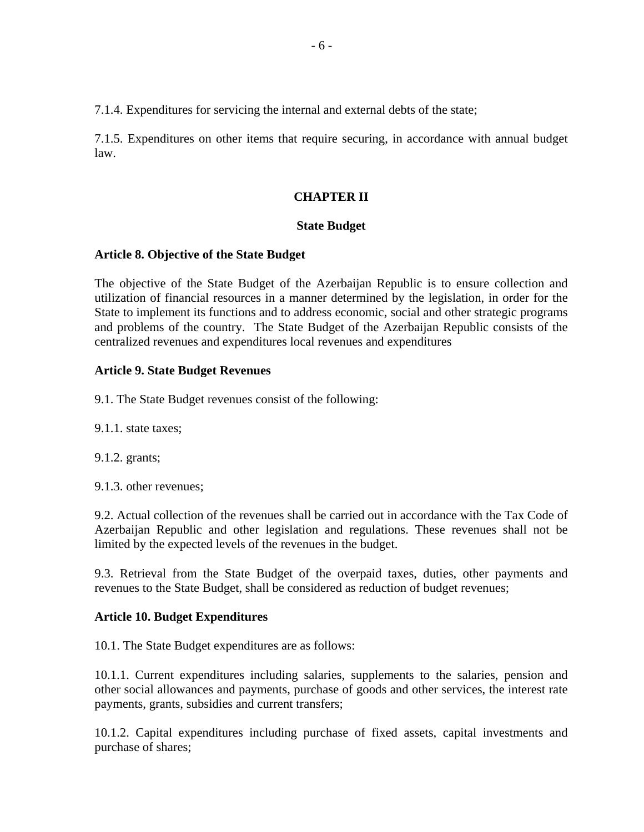7.1.4. Expenditures for servicing the internal and external debts of the state;

7.1.5. Expenditures on other items that require securing, in accordance with annual budget law.

### **CHAPTER II**

#### **State Budget**

#### **Article 8. Objective of the State Budget**

The objective of the State Budget of the Azerbaijan Republic is to ensure collection and utilization of financial resources in a manner determined by the legislation, in order for the State to implement its functions and to address economic, social and other strategic programs and problems of the country. The State Budget of the Azerbaijan Republic consists of the centralized revenues and expenditures local revenues and expenditures

#### **Article 9. State Budget Revenues**

9.1. The State Budget revenues consist of the following:

9.1.1. state taxes;

9.1.2. grants;

9.1.3. other revenues;

9.2. Actual collection of the revenues shall be carried out in accordance with the Tax Code of Azerbaijan Republic and other legislation and regulations. These revenues shall not be limited by the expected levels of the revenues in the budget.

9.3. Retrieval from the State Budget of the overpaid taxes, duties, other payments and revenues to the State Budget, shall be considered as reduction of budget revenues;

### **Article 10. Budget Expenditures**

10.1. The State Budget expenditures are as follows:

10.1.1. Current expenditures including salaries, supplements to the salaries, pension and other social allowances and payments, purchase of goods and other services, the interest rate payments, grants, subsidies and current transfers;

10.1.2. Capital expenditures including purchase of fixed assets, capital investments and purchase of shares;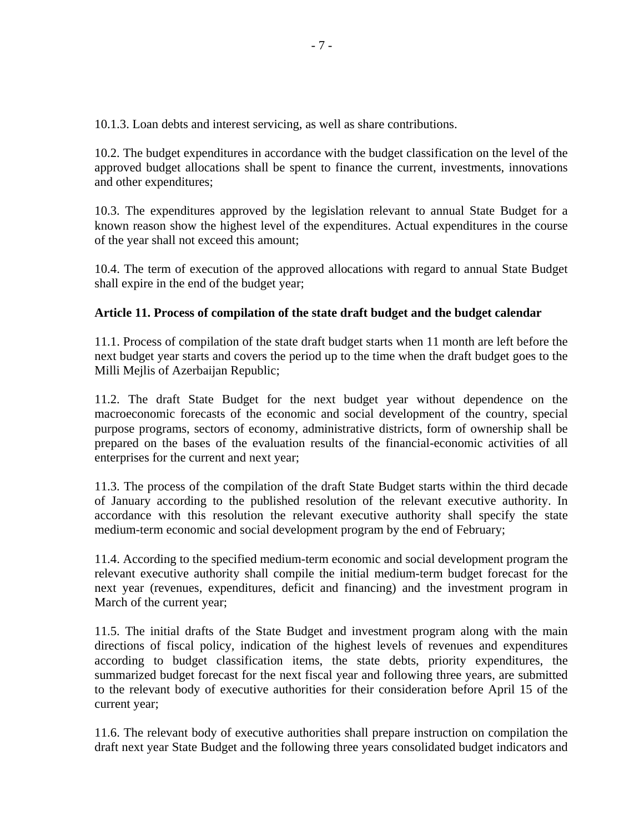10.1.3. Loan debts and interest servicing, as well as share contributions.

10.2. The budget expenditures in accordance with the budget classification on the level of the approved budget allocations shall be spent to finance the current, investments, innovations and other expenditures;

10.3. The expenditures approved by the legislation relevant to annual State Budget for a known reason show the highest level of the expenditures. Actual expenditures in the course of the year shall not exceed this amount;

10.4. The term of execution of the approved allocations with regard to annual State Budget shall expire in the end of the budget year;

# **Article 11. Process of compilation of the state draft budget and the budget calendar**

11.1. Process of compilation of the state draft budget starts when 11 month are left before the next budget year starts and covers the period up to the time when the draft budget goes to the Milli Mejlis of Azerbaijan Republic;

11.2. The draft State Budget for the next budget year without dependence on the macroeconomic forecasts of the economic and social development of the country, special purpose programs, sectors of economy, administrative districts, form of ownership shall be prepared on the bases of the evaluation results of the financial-economic activities of all enterprises for the current and next year;

11.3. The process of the compilation of the draft State Budget starts within the third decade of January according to the published resolution of the relevant executive authority. In accordance with this resolution the relevant executive authority shall specify the state medium-term economic and social development program by the end of February;

11.4. According to the specified medium-term economic and social development program the relevant executive authority shall compile the initial medium-term budget forecast for the next year (revenues, expenditures, deficit and financing) and the investment program in March of the current year;

11.5. The initial drafts of the State Budget and investment program along with the main directions of fiscal policy, indication of the highest levels of revenues and expenditures according to budget classification items, the state debts, priority expenditures, the summarized budget forecast for the next fiscal year and following three years, are submitted to the relevant body of executive authorities for their consideration before April 15 of the current year;

11.6. The relevant body of executive authorities shall prepare instruction on compilation the draft next year State Budget and the following three years consolidated budget indicators and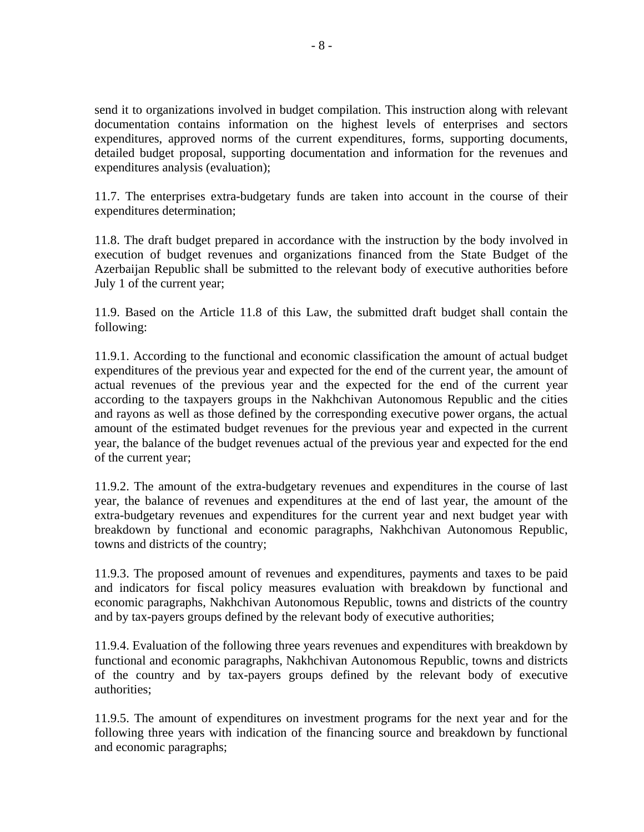send it to organizations involved in budget compilation. This instruction along with relevant documentation contains information on the highest levels of enterprises and sectors expenditures, approved norms of the current expenditures, forms, supporting documents, detailed budget proposal, supporting documentation and information for the revenues and expenditures analysis (evaluation);

11.7. The enterprises extra-budgetary funds are taken into account in the course of their expenditures determination;

11.8. The draft budget prepared in accordance with the instruction by the body involved in execution of budget revenues and organizations financed from the State Budget of the Azerbaijan Republic shall be submitted to the relevant body of executive authorities before July 1 of the current year;

11.9. Based on the Article 11.8 of this Law, the submitted draft budget shall contain the following:

11.9.1. According to the functional and economic classification the amount of actual budget expenditures of the previous year and expected for the end of the current year, the amount of actual revenues of the previous year and the expected for the end of the current year according to the taxpayers groups in the Nakhchivan Autonomous Republic and the cities and rayons as well as those defined by the corresponding executive power organs, the actual amount of the estimated budget revenues for the previous year and expected in the current year, the balance of the budget revenues actual of the previous year and expected for the end of the current year;

11.9.2. The amount of the extra-budgetary revenues and expenditures in the course of last year, the balance of revenues and expenditures at the end of last year, the amount of the extra-budgetary revenues and expenditures for the current year and next budget year with breakdown by functional and economic paragraphs, Nakhchivan Autonomous Republic, towns and districts of the country;

11.9.3. The proposed amount of revenues and expenditures, payments and taxes to be paid and indicators for fiscal policy measures evaluation with breakdown by functional and economic paragraphs, Nakhchivan Autonomous Republic, towns and districts of the country and by tax-payers groups defined by the relevant body of executive authorities;

11.9.4. Evaluation of the following three years revenues and expenditures with breakdown by functional and economic paragraphs, Nakhchivan Autonomous Republic, towns and districts of the country and by tax-payers groups defined by the relevant body of executive authorities;

11.9.5. The amount of expenditures on investment programs for the next year and for the following three years with indication of the financing source and breakdown by functional and economic paragraphs;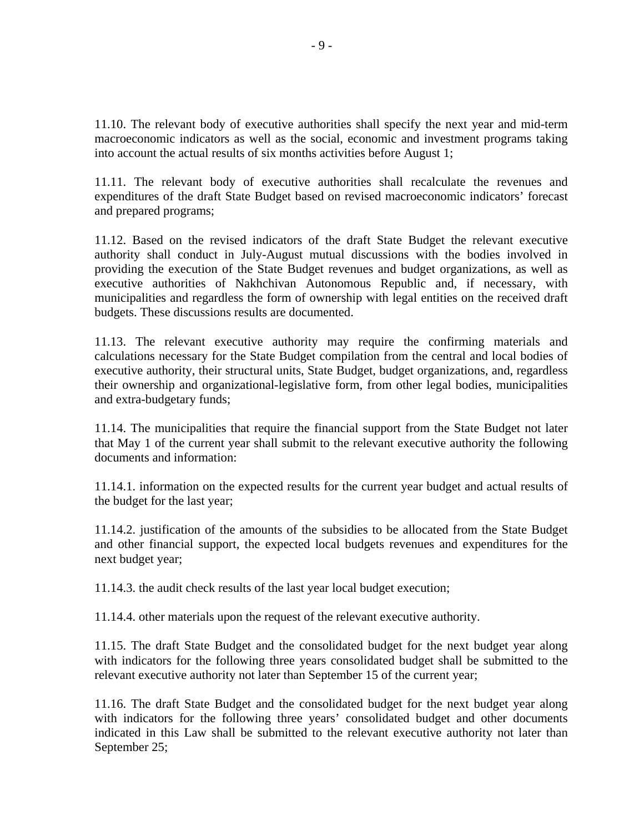11.10. The relevant body of executive authorities shall specify the next year and mid-term macroeconomic indicators as well as the social, economic and investment programs taking into account the actual results of six months activities before August 1;

11.11. The relevant body of executive authorities shall recalculate the revenues and expenditures of the draft State Budget based on revised macroeconomic indicators' forecast and prepared programs;

11.12. Based on the revised indicators of the draft State Budget the relevant executive authority shall conduct in July-August mutual discussions with the bodies involved in providing the execution of the State Budget revenues and budget organizations, as well as executive authorities of Nakhchivan Autonomous Republic and, if necessary, with municipalities and regardless the form of ownership with legal entities on the received draft budgets. These discussions results are documented.

11.13. The relevant executive authority may require the confirming materials and calculations necessary for the State Budget compilation from the central and local bodies of executive authority, their structural units, State Budget, budget organizations, and, regardless their ownership and organizational-legislative form, from other legal bodies, municipalities and extra-budgetary funds;

11.14. The municipalities that require the financial support from the State Budget not later that May 1 of the current year shall submit to the relevant executive authority the following documents and information:

11.14.1. information on the expected results for the current year budget and actual results of the budget for the last year;

11.14.2. justification of the amounts of the subsidies to be allocated from the State Budget and other financial support, the expected local budgets revenues and expenditures for the next budget year;

11.14.3. the audit check results of the last year local budget execution;

11.14.4. other materials upon the request of the relevant executive authority.

11.15. The draft State Budget and the consolidated budget for the next budget year along with indicators for the following three years consolidated budget shall be submitted to the relevant executive authority not later than September 15 of the current year;

11.16. The draft State Budget and the consolidated budget for the next budget year along with indicators for the following three years' consolidated budget and other documents indicated in this Law shall be submitted to the relevant executive authority not later than September 25;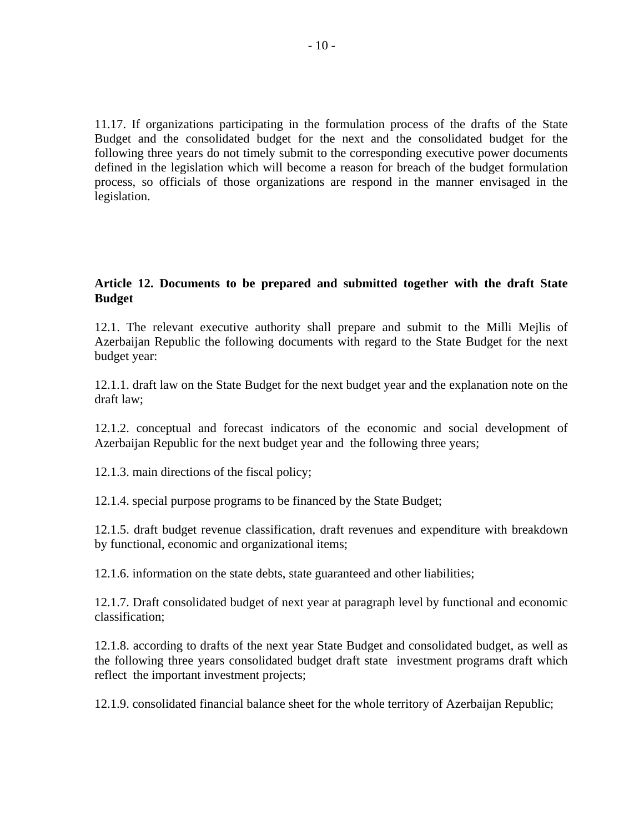11.17. If organizations participating in the formulation process of the drafts of the State Budget and the consolidated budget for the next and the consolidated budget for the following three years do not timely submit to the corresponding executive power documents defined in the legislation which will become a reason for breach of the budget formulation process, so officials of those organizations are respond in the manner envisaged in the legislation.

## **Article 12. Documents to be prepared and submitted together with the draft State Budget**

12.1. The relevant executive authority shall prepare and submit to the Milli Mejlis of Azerbaijan Republic the following documents with regard to the State Budget for the next budget year:

12.1.1. draft law on the State Budget for the next budget year and the explanation note on the draft law;

12.1.2. conceptual and forecast indicators of the economic and social development of Azerbaijan Republic for the next budget year and the following three years;

12.1.3. main directions of the fiscal policy;

12.1.4. special purpose programs to be financed by the State Budget;

12.1.5. draft budget revenue classification, draft revenues and expenditure with breakdown by functional, economic and organizational items;

12.1.6. information on the state debts, state guaranteed and other liabilities;

12.1.7. Draft consolidated budget of next year at paragraph level by functional and economic classification;

12.1.8. according to drafts of the next year State Budget and consolidated budget, as well as the following three years consolidated budget draft state investment programs draft which reflect the important investment projects;

12.1.9. consolidated financial balance sheet for the whole territory of Azerbaijan Republic;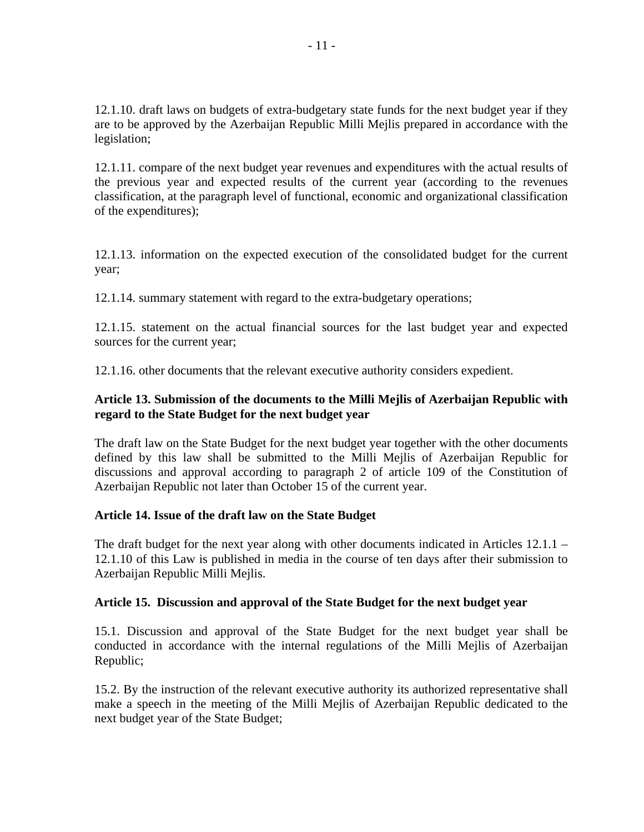12.1.10. draft laws on budgets of extra-budgetary state funds for the next budget year if they are to be approved by the Azerbaijan Republic Milli Mejlis prepared in accordance with the legislation;

12.1.11. compare of the next budget year revenues and expenditures with the actual results of the previous year and expected results of the current year (according to the revenues classification, at the paragraph level of functional, economic and organizational classification of the expenditures);

12.1.13. information on the expected execution of the consolidated budget for the current year;

12.1.14. summary statement with regard to the extra-budgetary operations;

12.1.15. statement on the actual financial sources for the last budget year and expected sources for the current year;

12.1.16. other documents that the relevant executive authority considers expedient.

# **Article 13. Submission of the documents to the Milli Mejlis of Azerbaijan Republic with regard to the State Budget for the next budget year**

The draft law on the State Budget for the next budget year together with the other documents defined by this law shall be submitted to the Milli Mejlis of Azerbaijan Republic for discussions and approval according to paragraph 2 of article 109 of the Constitution of Azerbaijan Republic not later than October 15 of the current year.

### **Article 14. Issue of the draft law on the State Budget**

The draft budget for the next year along with other documents indicated in Articles  $12.1.1 -$ 12.1.10 of this Law is published in media in the course of ten days after their submission to Azerbaijan Republic Milli Mejlis.

### **Article 15. Discussion and approval of the State Budget for the next budget year**

15.1. Discussion and approval of the State Budget for the next budget year shall be conducted in accordance with the internal regulations of the Milli Mejlis of Azerbaijan Republic;

15.2. By the instruction of the relevant executive authority its authorized representative shall make a speech in the meeting of the Milli Mejlis of Azerbaijan Republic dedicated to the next budget year of the State Budget;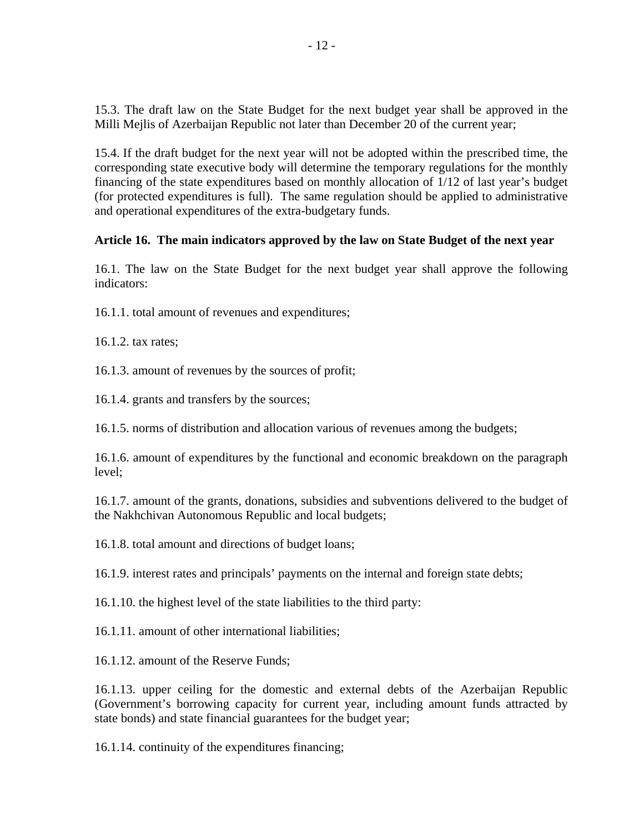15.3. The draft law on the State Budget for the next budget year shall be approved in the Milli Mejlis of Azerbaijan Republic not later than December 20 of the current year;

15.4. If the draft budget for the next year will not be adopted within the prescribed time, the corresponding state executive body will determine the temporary regulations for the monthly financing of the state expenditures based on monthly allocation of 1/12 of last year's budget (for protected expenditures is full). The same regulation should be applied to administrative and operational expenditures of the extra-budgetary funds.

## **Article 16. The main indicators approved by the law on State Budget of the next year**

16.1. The law on the State Budget for the next budget year shall approve the following indicators:

16.1.1. total amount of revenues and expenditures;

16.1.2. tax rates;

16.1.3. amount of revenues by the sources of profit;

16.1.4. grants and transfers by the sources;

16.1.5. norms of distribution and allocation various of revenues among the budgets;

16.1.6. amount of expenditures by the functional and economic breakdown on the paragraph level;

16.1.7. amount of the grants, donations, subsidies and subventions delivered to the budget of the Nakhchivan Autonomous Republic and local budgets;

16.1.8. total amount and directions of budget loans;

16.1.9. interest rates and principals' payments on the internal and foreign state debts;

16.1.10. the highest level of the state liabilities to the third party:

16.1.11. amount of other international liabilities;

16.1.12. amount of the Reserve Funds;

16.1.13. upper ceiling for the domestic and external debts of the Azerbaijan Republic (Government's borrowing capacity for current year, including amount funds attracted by state bonds) and state financial guarantees for the budget year;

16.1.14. continuity of the expenditures financing;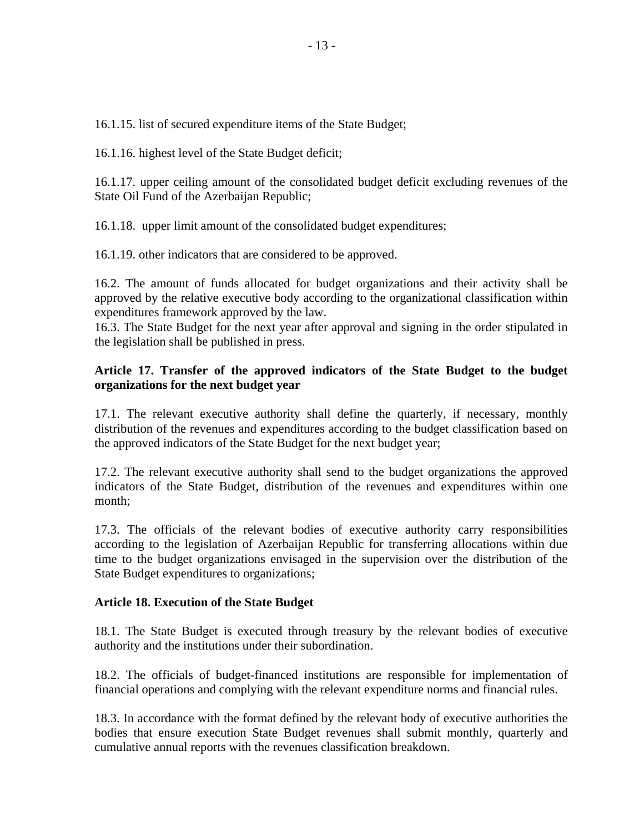16.1.15. list of secured expenditure items of the State Budget;

16.1.16. highest level of the State Budget deficit;

16.1.17. upper ceiling amount of the consolidated budget deficit excluding revenues of the State Oil Fund of the Azerbaijan Republic;

16.1.18. upper limit amount of the consolidated budget expenditures;

16.1.19. other indicators that are considered to be approved.

16.2. The amount of funds allocated for budget organizations and their activity shall be approved by the relative executive body according to the organizational classification within expenditures framework approved by the law.

16.3. The State Budget for the next year after approval and signing in the order stipulated in the legislation shall be published in press.

## **Article 17. Transfer of the approved indicators of the State Budget to the budget organizations for the next budget year**

17.1. The relevant executive authority shall define the quarterly, if necessary, monthly distribution of the revenues and expenditures according to the budget classification based on the approved indicators of the State Budget for the next budget year;

17.2. The relevant executive authority shall send to the budget organizations the approved indicators of the State Budget, distribution of the revenues and expenditures within one month;

17.3. The officials of the relevant bodies of executive authority carry responsibilities according to the legislation of Azerbaijan Republic for transferring allocations within due time to the budget organizations envisaged in the supervision over the distribution of the State Budget expenditures to organizations;

### **Article 18. Execution of the State Budget**

18.1. The State Budget is executed through treasury by the relevant bodies of executive authority and the institutions under their subordination.

18.2. The officials of budget-financed institutions are responsible for implementation of financial operations and complying with the relevant expenditure norms and financial rules.

18.3. In accordance with the format defined by the relevant body of executive authorities the bodies that ensure execution State Budget revenues shall submit monthly, quarterly and cumulative annual reports with the revenues classification breakdown.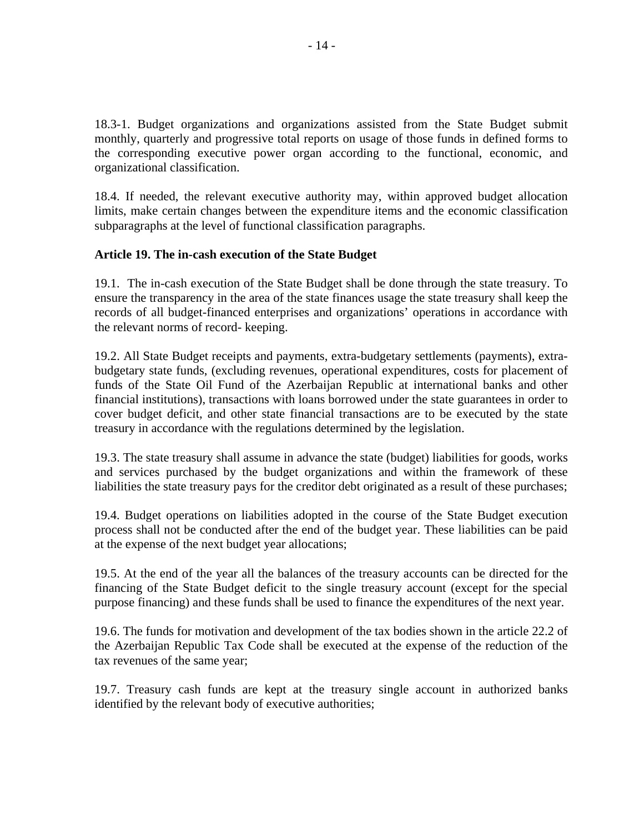18.3-1. Budget organizations and organizations assisted from the State Budget submit monthly, quarterly and progressive total reports on usage of those funds in defined forms to the corresponding executive power organ according to the functional, economic, and organizational classification.

18.4. If needed, the relevant executive authority may, within approved budget allocation limits, make certain changes between the expenditure items and the economic classification subparagraphs at the level of functional classification paragraphs.

## **Article 19. The in-cash execution of the State Budget**

19.1. The in-cash execution of the State Budget shall be done through the state treasury. To ensure the transparency in the area of the state finances usage the state treasury shall keep the records of all budget-financed enterprises and organizations' operations in accordance with the relevant norms of record- keeping.

19.2. All State Budget receipts and payments, extra-budgetary settlements (payments), extrabudgetary state funds, (excluding revenues, operational expenditures, costs for placement of funds of the State Oil Fund of the Azerbaijan Republic at international banks and other financial institutions), transactions with loans borrowed under the state guarantees in order to cover budget deficit, and other state financial transactions are to be executed by the state treasury in accordance with the regulations determined by the legislation.

19.3. The state treasury shall assume in advance the state (budget) liabilities for goods, works and services purchased by the budget organizations and within the framework of these liabilities the state treasury pays for the creditor debt originated as a result of these purchases;

19.4. Budget operations on liabilities adopted in the course of the State Budget execution process shall not be conducted after the end of the budget year. These liabilities can be paid at the expense of the next budget year allocations;

19.5. At the end of the year all the balances of the treasury accounts can be directed for the financing of the State Budget deficit to the single treasury account (except for the special purpose financing) and these funds shall be used to finance the expenditures of the next year.

19.6. The funds for motivation and development of the tax bodies shown in the article 22.2 of the Azerbaijan Republic Tax Code shall be executed at the expense of the reduction of the tax revenues of the same year;

19.7. Treasury cash funds are kept at the treasury single account in authorized banks identified by the relevant body of executive authorities;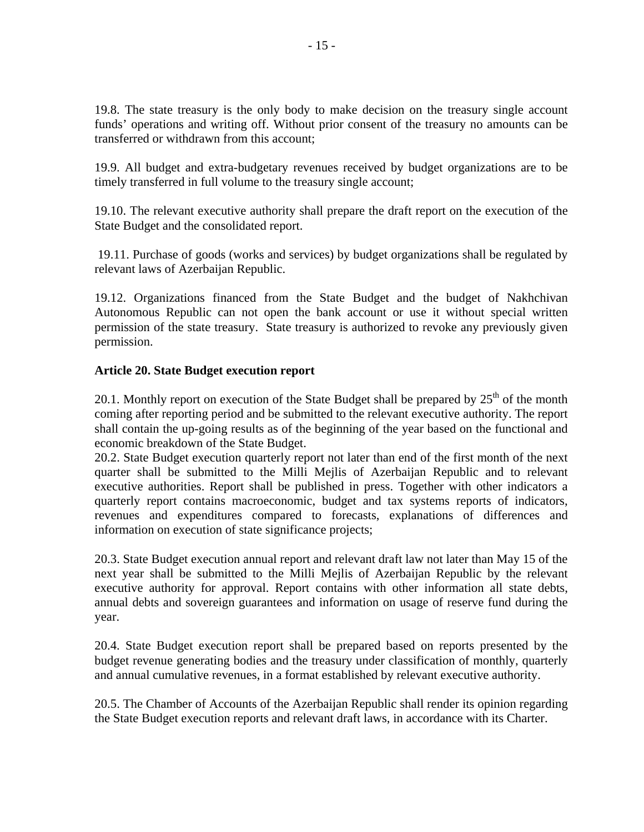19.8. The state treasury is the only body to make decision on the treasury single account funds' operations and writing off. Without prior consent of the treasury no amounts can be transferred or withdrawn from this account;

19.9. All budget and extra-budgetary revenues received by budget organizations are to be timely transferred in full volume to the treasury single account;

19.10. The relevant executive authority shall prepare the draft report on the execution of the State Budget and the consolidated report.

 19.11. Purchase of goods (works and services) by budget organizations shall be regulated by relevant laws of Azerbaijan Republic.

19.12. Organizations financed from the State Budget and the budget of Nakhchivan Autonomous Republic can not open the bank account or use it without special written permission of the state treasury. State treasury is authorized to revoke any previously given permission.

## **Article 20. State Budget execution report**

20.1. Monthly report on execution of the State Budget shall be prepared by  $25<sup>th</sup>$  of the month coming after reporting period and be submitted to the relevant executive authority. The report shall contain the up-going results as of the beginning of the year based on the functional and economic breakdown of the State Budget.

20.2. State Budget execution quarterly report not later than end of the first month of the next quarter shall be submitted to the Milli Mejlis of Azerbaijan Republic and to relevant executive authorities. Report shall be published in press. Together with other indicators a quarterly report contains macroeconomic, budget and tax systems reports of indicators, revenues and expenditures compared to forecasts, explanations of differences and information on execution of state significance projects;

20.3. State Budget execution annual report and relevant draft law not later than May 15 of the next year shall be submitted to the Milli Mejlis of Azerbaijan Republic by the relevant executive authority for approval. Report contains with other information all state debts, annual debts and sovereign guarantees and information on usage of reserve fund during the year.

20.4. State Budget execution report shall be prepared based on reports presented by the budget revenue generating bodies and the treasury under classification of monthly, quarterly and annual cumulative revenues, in a format established by relevant executive authority.

20.5. The Chamber of Accounts of the Azerbaijan Republic shall render its opinion regarding the State Budget execution reports and relevant draft laws, in accordance with its Charter.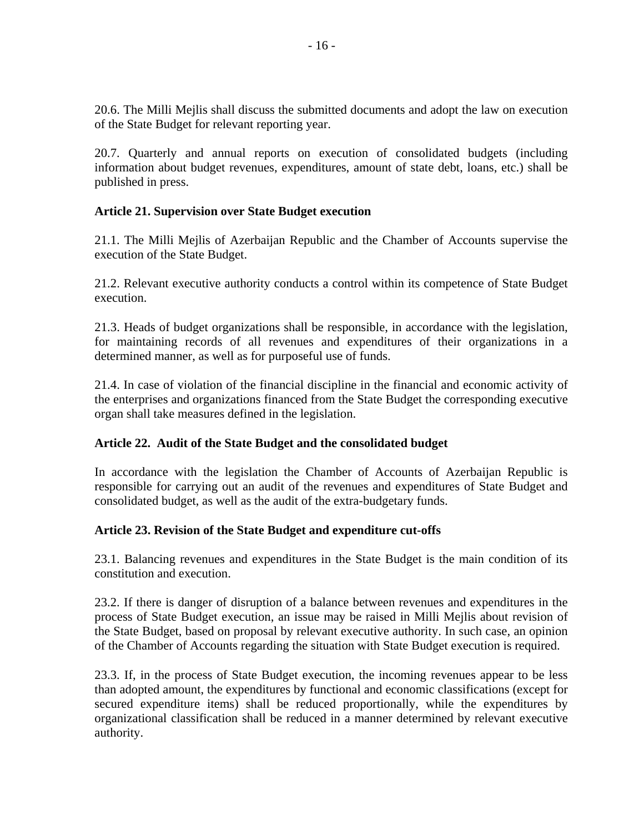20.6. The Milli Mejlis shall discuss the submitted documents and adopt the law on execution of the State Budget for relevant reporting year.

20.7. Quarterly and annual reports on execution of consolidated budgets (including information about budget revenues, expenditures, amount of state debt, loans, etc.) shall be published in press.

## **Article 21. Supervision over State Budget execution**

21.1. The Milli Mejlis of Azerbaijan Republic and the Chamber of Accounts supervise the execution of the State Budget.

21.2. Relevant executive authority conducts a control within its competence of State Budget execution.

21.3. Heads of budget organizations shall be responsible, in accordance with the legislation, for maintaining records of all revenues and expenditures of their organizations in a determined manner, as well as for purposeful use of funds.

21.4. In case of violation of the financial discipline in the financial and economic activity of the enterprises and organizations financed from the State Budget the corresponding executive organ shall take measures defined in the legislation.

# **Article 22. Audit of the State Budget and the consolidated budget**

In accordance with the legislation the Chamber of Accounts of Azerbaijan Republic is responsible for carrying out an audit of the revenues and expenditures of State Budget and consolidated budget, as well as the audit of the extra-budgetary funds.

### **Article 23. Revision of the State Budget and expenditure cut-offs**

23.1. Balancing revenues and expenditures in the State Budget is the main condition of its constitution and execution.

23.2. If there is danger of disruption of a balance between revenues and expenditures in the process of State Budget execution, an issue may be raised in Milli Mejlis about revision of the State Budget, based on proposal by relevant executive authority. In such case, an opinion of the Chamber of Accounts regarding the situation with State Budget execution is required.

23.3. If, in the process of State Budget execution, the incoming revenues appear to be less than adopted amount, the expenditures by functional and economic classifications (except for secured expenditure items) shall be reduced proportionally, while the expenditures by organizational classification shall be reduced in a manner determined by relevant executive authority.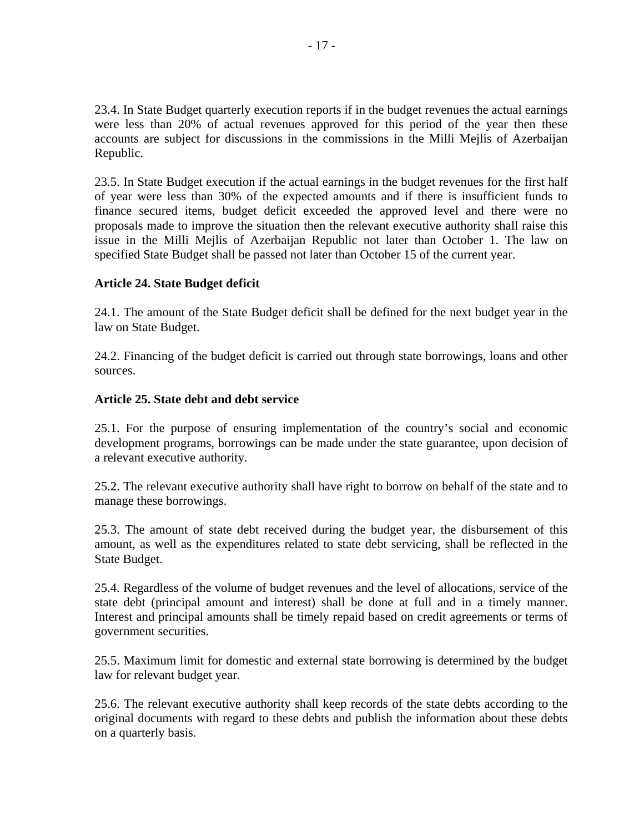23.4. In State Budget quarterly execution reports if in the budget revenues the actual earnings were less than 20% of actual revenues approved for this period of the year then these accounts are subject for discussions in the commissions in the Milli Mejlis of Azerbaijan Republic.

23.5. In State Budget execution if the actual earnings in the budget revenues for the first half of year were less than 30% of the expected amounts and if there is insufficient funds to finance secured items, budget deficit exceeded the approved level and there were no proposals made to improve the situation then the relevant executive authority shall raise this issue in the Milli Mejlis of Azerbaijan Republic not later than October 1. The law on specified State Budget shall be passed not later than October 15 of the current year.

## **Article 24. State Budget deficit**

24.1. The amount of the State Budget deficit shall be defined for the next budget year in the law on State Budget.

24.2. Financing of the budget deficit is carried out through state borrowings, loans and other sources.

## **Article 25. State debt and debt service**

25.1. For the purpose of ensuring implementation of the country's social and economic development programs, borrowings can be made under the state guarantee, upon decision of a relevant executive authority.

25.2. The relevant executive authority shall have right to borrow on behalf of the state and to manage these borrowings.

25.3. The amount of state debt received during the budget year, the disbursement of this amount, as well as the expenditures related to state debt servicing, shall be reflected in the State Budget.

25.4. Regardless of the volume of budget revenues and the level of allocations, service of the state debt (principal amount and interest) shall be done at full and in a timely manner. Interest and principal amounts shall be timely repaid based on credit agreements or terms of government securities.

25.5. Maximum limit for domestic and external state borrowing is determined by the budget law for relevant budget year.

25.6. The relevant executive authority shall keep records of the state debts according to the original documents with regard to these debts and publish the information about these debts on a quarterly basis.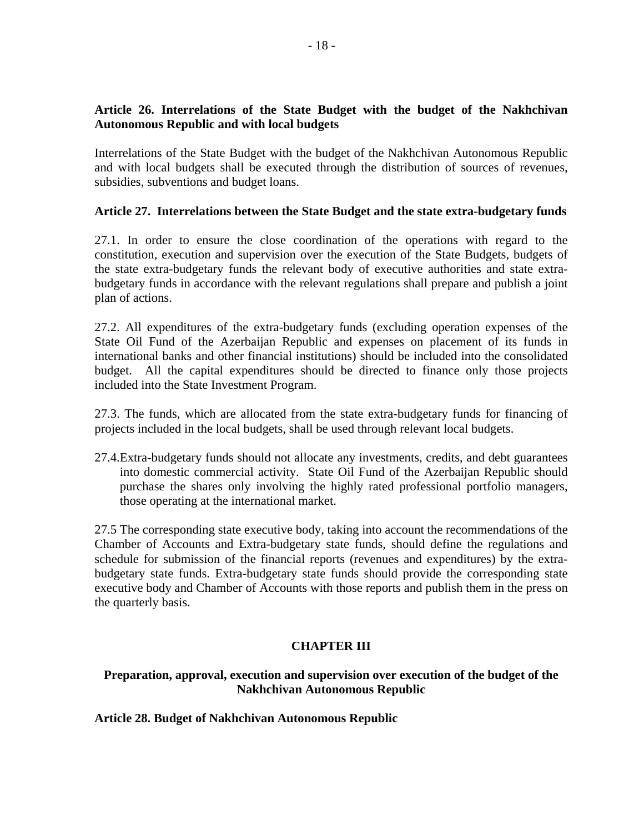# **Article 26. Interrelations of the State Budget with the budget of the Nakhchivan Autonomous Republic and with local budgets**

Interrelations of the State Budget with the budget of the Nakhchivan Autonomous Republic and with local budgets shall be executed through the distribution of sources of revenues, subsidies, subventions and budget loans.

## **Article 27. Interrelations between the State Budget and the state extra-budgetary funds**

27.1. In order to ensure the close coordination of the operations with regard to the constitution, execution and supervision over the execution of the State Budgets, budgets of the state extra-budgetary funds the relevant body of executive authorities and state extrabudgetary funds in accordance with the relevant regulations shall prepare and publish a joint plan of actions.

27.2. All expenditures of the extra-budgetary funds (excluding operation expenses of the State Oil Fund of the Azerbaijan Republic and expenses on placement of its funds in international banks and other financial institutions) should be included into the consolidated budget. All the capital expenditures should be directed to finance only those projects included into the State Investment Program.

27.3. The funds, which are allocated from the state extra-budgetary funds for financing of projects included in the local budgets, shall be used through relevant local budgets.

27.4.Extra-budgetary funds should not allocate any investments, credits, and debt guarantees into domestic commercial activity. State Oil Fund of the Azerbaijan Republic should purchase the shares only involving the highly rated professional portfolio managers, those operating at the international market.

27.5 The corresponding state executive body, taking into account the recommendations of the Chamber of Accounts and Extra-budgetary state funds, should define the regulations and schedule for submission of the financial reports (revenues and expenditures) by the extrabudgetary state funds. Extra-budgetary state funds should provide the corresponding state executive body and Chamber of Accounts with those reports and publish them in the press on the quarterly basis.

# **CHAPTER III**

## **Preparation, approval, execution and supervision over execution of the budget of the Nakhchivan Autonomous Republic**

### **Article 28. Budget of Nakhchivan Autonomous Republic**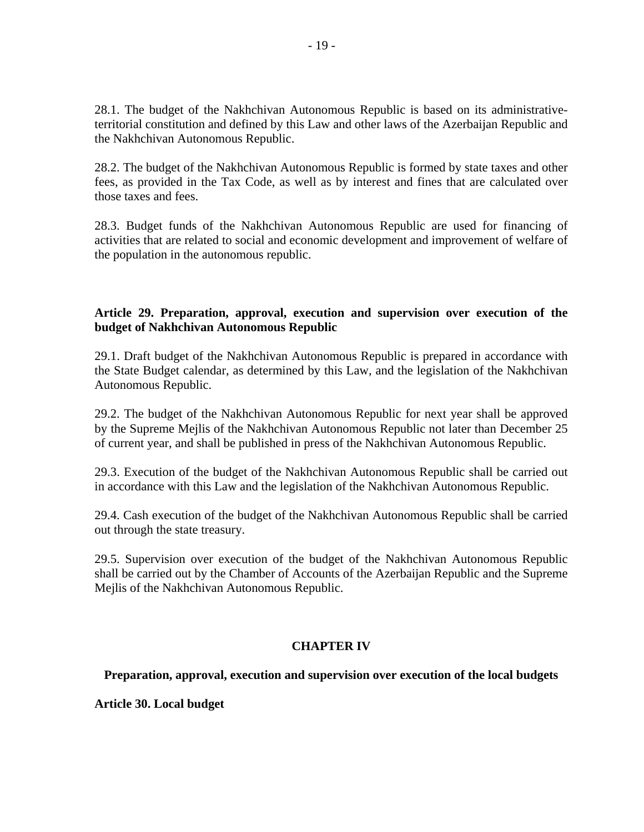28.1. The budget of the Nakhchivan Autonomous Republic is based on its administrativeterritorial constitution and defined by this Law and other laws of the Azerbaijan Republic and the Nakhchivan Autonomous Republic.

28.2. The budget of the Nakhchivan Autonomous Republic is formed by state taxes and other fees, as provided in the Tax Code, as well as by interest and fines that are calculated over those taxes and fees.

28.3. Budget funds of the Nakhchivan Autonomous Republic are used for financing of activities that are related to social and economic development and improvement of welfare of the population in the autonomous republic.

## **Article 29. Preparation, approval, execution and supervision over execution of the budget of Nakhchivan Autonomous Republic**

29.1. Draft budget of the Nakhchivan Autonomous Republic is prepared in accordance with the State Budget calendar, as determined by this Law, and the legislation of the Nakhchivan Autonomous Republic.

29.2. The budget of the Nakhchivan Autonomous Republic for next year shall be approved by the Supreme Mejlis of the Nakhchivan Autonomous Republic not later than December 25 of current year, and shall be published in press of the Nakhchivan Autonomous Republic.

29.3. Execution of the budget of the Nakhchivan Autonomous Republic shall be carried out in accordance with this Law and the legislation of the Nakhchivan Autonomous Republic.

29.4. Cash execution of the budget of the Nakhchivan Autonomous Republic shall be carried out through the state treasury.

29.5. Supervision over execution of the budget of the Nakhchivan Autonomous Republic shall be carried out by the Chamber of Accounts of the Azerbaijan Republic and the Supreme Mejlis of the Nakhchivan Autonomous Republic.

# **CHAPTER IV**

**Preparation, approval, execution and supervision over execution of the local budgets** 

**Article 30. Local budget**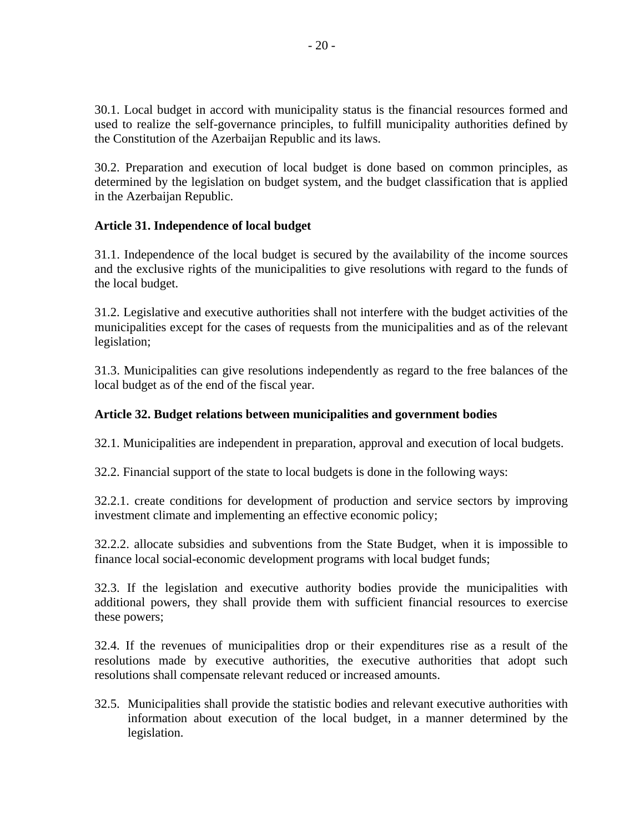30.1. Local budget in accord with municipality status is the financial resources formed and used to realize the self-governance principles, to fulfill municipality authorities defined by the Constitution of the Azerbaijan Republic and its laws.

30.2. Preparation and execution of local budget is done based on common principles, as determined by the legislation on budget system, and the budget classification that is applied in the Azerbaijan Republic.

# **Article 31. Independence of local budget**

31.1. Independence of the local budget is secured by the availability of the income sources and the exclusive rights of the municipalities to give resolutions with regard to the funds of the local budget.

31.2. Legislative and executive authorities shall not interfere with the budget activities of the municipalities except for the cases of requests from the municipalities and as of the relevant legislation;

31.3. Municipalities can give resolutions independently as regard to the free balances of the local budget as of the end of the fiscal year.

# **Article 32. Budget relations between municipalities and government bodies**

32.1. Municipalities are independent in preparation, approval and execution of local budgets.

32.2. Financial support of the state to local budgets is done in the following ways:

32.2.1. create conditions for development of production and service sectors by improving investment climate and implementing an effective economic policy;

32.2.2. allocate subsidies and subventions from the State Budget, when it is impossible to finance local social-economic development programs with local budget funds;

32.3. If the legislation and executive authority bodies provide the municipalities with additional powers, they shall provide them with sufficient financial resources to exercise these powers;

32.4. If the revenues of municipalities drop or their expenditures rise as a result of the resolutions made by executive authorities, the executive authorities that adopt such resolutions shall compensate relevant reduced or increased amounts.

32.5. Municipalities shall provide the statistic bodies and relevant executive authorities with information about execution of the local budget, in a manner determined by the legislation.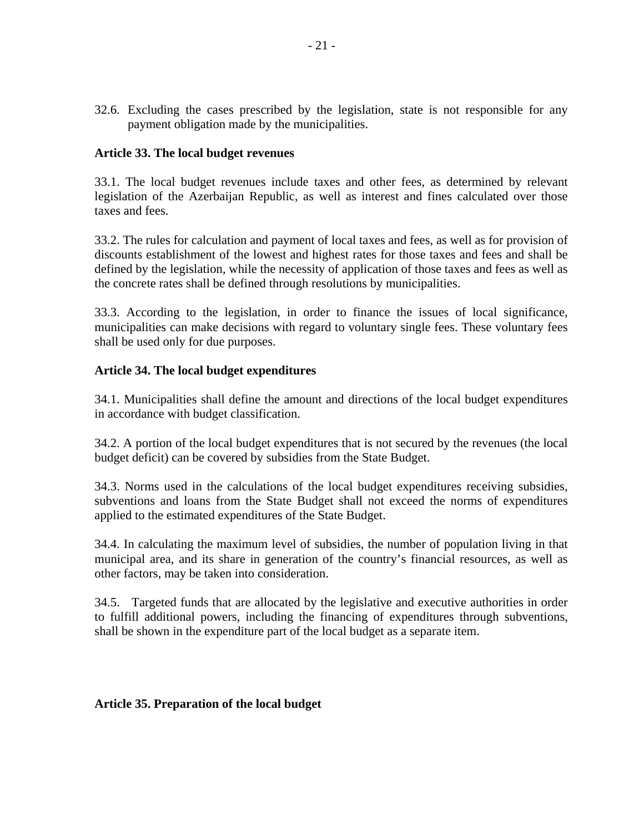32.6. Excluding the cases prescribed by the legislation, state is not responsible for any payment obligation made by the municipalities.

### **Article 33. The local budget revenues**

33.1. The local budget revenues include taxes and other fees, as determined by relevant legislation of the Azerbaijan Republic, as well as interest and fines calculated over those taxes and fees.

33.2. The rules for calculation and payment of local taxes and fees, as well as for provision of discounts establishment of the lowest and highest rates for those taxes and fees and shall be defined by the legislation, while the necessity of application of those taxes and fees as well as the concrete rates shall be defined through resolutions by municipalities.

33.3. According to the legislation, in order to finance the issues of local significance, municipalities can make decisions with regard to voluntary single fees. These voluntary fees shall be used only for due purposes.

#### **Article 34. The local budget expenditures**

34.1. Municipalities shall define the amount and directions of the local budget expenditures in accordance with budget classification.

34.2. A portion of the local budget expenditures that is not secured by the revenues (the local budget deficit) can be covered by subsidies from the State Budget.

34.3. Norms used in the calculations of the local budget expenditures receiving subsidies, subventions and loans from the State Budget shall not exceed the norms of expenditures applied to the estimated expenditures of the State Budget.

34.4. In calculating the maximum level of subsidies, the number of population living in that municipal area, and its share in generation of the country's financial resources, as well as other factors, may be taken into consideration.

34.5. Targeted funds that are allocated by the legislative and executive authorities in order to fulfill additional powers, including the financing of expenditures through subventions, shall be shown in the expenditure part of the local budget as a separate item.

#### **Article 35. Preparation of the local budget**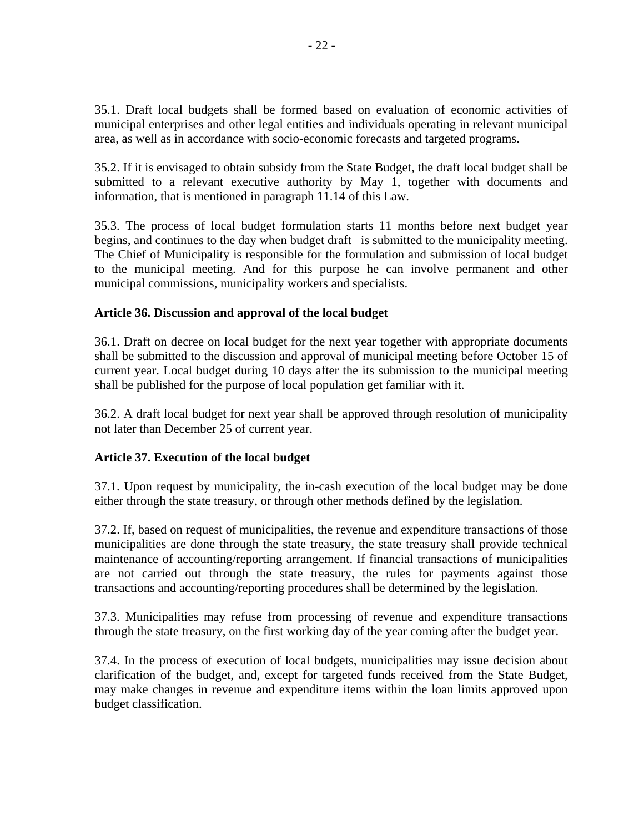35.1. Draft local budgets shall be formed based on evaluation of economic activities of municipal enterprises and other legal entities and individuals operating in relevant municipal area, as well as in accordance with socio-economic forecasts and targeted programs.

35.2. If it is envisaged to obtain subsidy from the State Budget, the draft local budget shall be submitted to a relevant executive authority by May 1, together with documents and information, that is mentioned in paragraph 11.14 of this Law.

35.3. The process of local budget formulation starts 11 months before next budget year begins, and continues to the day when budget draft is submitted to the municipality meeting. The Chief of Municipality is responsible for the formulation and submission of local budget to the municipal meeting. And for this purpose he can involve permanent and other municipal commissions, municipality workers and specialists.

# **Article 36. Discussion and approval of the local budget**

36.1. Draft on decree on local budget for the next year together with appropriate documents shall be submitted to the discussion and approval of municipal meeting before October 15 of current year. Local budget during 10 days after the its submission to the municipal meeting shall be published for the purpose of local population get familiar with it.

36.2. A draft local budget for next year shall be approved through resolution of municipality not later than December 25 of current year.

### **Article 37. Execution of the local budget**

37.1. Upon request by municipality, the in-cash execution of the local budget may be done either through the state treasury, or through other methods defined by the legislation.

37.2. If, based on request of municipalities, the revenue and expenditure transactions of those municipalities are done through the state treasury, the state treasury shall provide technical maintenance of accounting/reporting arrangement. If financial transactions of municipalities are not carried out through the state treasury, the rules for payments against those transactions and accounting/reporting procedures shall be determined by the legislation.

37.3. Municipalities may refuse from processing of revenue and expenditure transactions through the state treasury, on the first working day of the year coming after the budget year.

37.4. In the process of execution of local budgets, municipalities may issue decision about clarification of the budget, and, except for targeted funds received from the State Budget, may make changes in revenue and expenditure items within the loan limits approved upon budget classification.